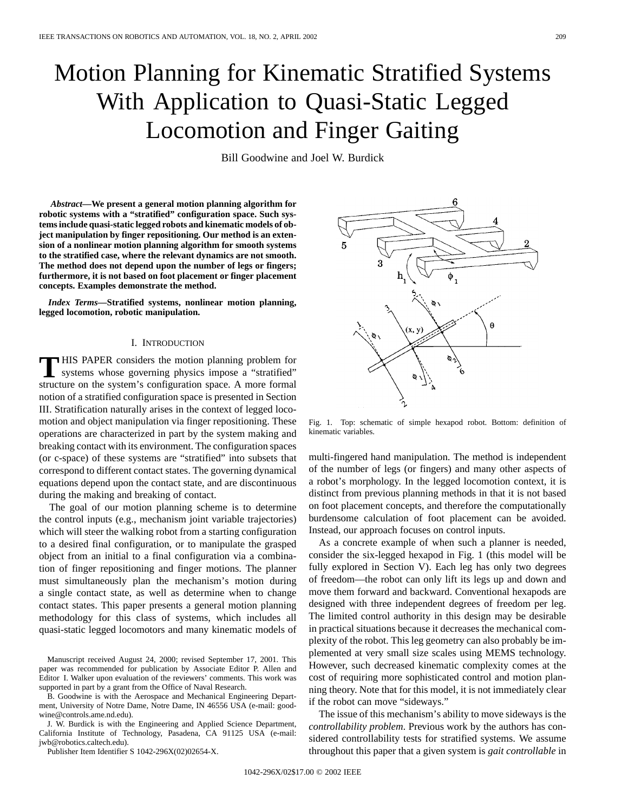# Motion Planning for Kinematic Stratified Systems With Application to Quasi-Static Legged Locomotion and Finger Gaiting

Bill Goodwine and Joel W. Burdick

*Abstract—***We present a general motion planning algorithm for robotic systems with a "stratified" configuration space. Such systems include quasi-static legged robots and kinematic models of object manipulation by finger repositioning. Our method is an extension of a nonlinear motion planning algorithm for smooth systems to the stratified case, where the relevant dynamics are not smooth. The method does not depend upon the number of legs or fingers; furthermore, it is not based on foot placement or finger placement concepts. Examples demonstrate the method.**

*Index Terms—***Stratified systems, nonlinear motion planning, legged locomotion, robotic manipulation.**

## I. INTRODUCTION

**T** HIS PAPER considers the motion planning problem for systems whose governing physics impose a "stratified" structure on the system's configuration space. A more formal notion of a stratified configuration space is presented in Section III. Stratification naturally arises in the context of legged locomotion and object manipulation via finger repositioning. These operations are characterized in part by the system making and breaking contact with its environment. The configuration spaces (or c-space) of these systems are "stratified" into subsets that correspond to different contact states. The governing dynamical equations depend upon the contact state, and are discontinuous during the making and breaking of contact.

The goal of our motion planning scheme is to determine the control inputs (e.g., mechanism joint variable trajectories) which will steer the walking robot from a starting configuration to a desired final configuration, or to manipulate the grasped object from an initial to a final configuration via a combination of finger repositioning and finger motions. The planner must simultaneously plan the mechanism's motion during a single contact state, as well as determine when to change contact states. This paper presents a general motion planning methodology for this class of systems, which includes all quasi-static legged locomotors and many kinematic models of

Manuscript received August 24, 2000; revised September 17, 2001. This paper was recommended for publication by Associate Editor P. Allen and Editor I. Walker upon evaluation of the reviewers' comments. This work was supported in part by a grant from the Office of Naval Research.

B. Goodwine is with the Aerospace and Mechanical Engineering Department, University of Notre Dame, Notre Dame, IN 46556 USA (e-mail: goodwine@controls.ame.nd.edu).

J. W. Burdick is with the Engineering and Applied Science Department, California Institute of Technology, Pasadena, CA 91125 USA (e-mail: jwb@robotics.caltech.edu).

Publisher Item Identifier S 1042-296X(02)02654-X.



Fig. 1. Top: schematic of simple hexapod robot. Bottom: definition of kinematic variables.

multi-fingered hand manipulation. The method is independent of the number of legs (or fingers) and many other aspects of a robot's morphology. In the legged locomotion context, it is distinct from previous planning methods in that it is not based on foot placement concepts, and therefore the computationally burdensome calculation of foot placement can be avoided. Instead, our approach focuses on control inputs.

As a concrete example of when such a planner is needed, consider the six-legged hexapod in Fig. 1 (this model will be fully explored in Section V). Each leg has only two degrees of freedom—the robot can only lift its legs up and down and move them forward and backward. Conventional hexapods are designed with three independent degrees of freedom per leg. The limited control authority in this design may be desirable in practical situations because it decreases the mechanical complexity of the robot. This leg geometry can also probably be implemented at very small size scales using MEMS technology. However, such decreased kinematic complexity comes at the cost of requiring more sophisticated control and motion planning theory. Note that for this model, it is not immediately clear if the robot can move "sideways."

The issue of this mechanism's ability to move sideways is the *controllability problem*. Previous work by the authors has considered controllability tests for stratified systems. We assume throughout this paper that a given system is *gait controllable* in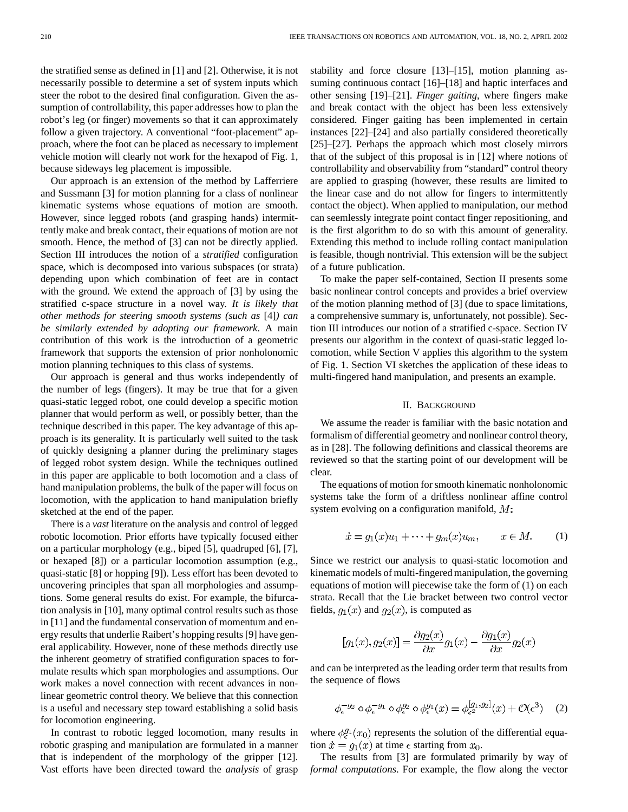the stratified sense as defined in [1] and [2]. Otherwise, it is not necessarily possible to determine a set of system inputs which steer the robot to the desired final configuration. Given the assumption of controllability, this paper addresses how to plan the robot's leg (or finger) movements so that it can approximately follow a given trajectory. A conventional "foot-placement" approach, where the foot can be placed as necessary to implement vehicle motion will clearly not work for the hexapod of Fig. 1, because sideways leg placement is impossible.

Our approach is an extension of the method by Lafferriere and Sussmann [3] for motion planning for a class of nonlinear kinematic systems whose equations of motion are smooth. However, since legged robots (and grasping hands) intermittently make and break contact, their equations of motion are not smooth. Hence, the method of [3] can not be directly applied. Section III introduces the notion of a *stratified* configuration space, which is decomposed into various subspaces (or strata) depending upon which combination of feet are in contact with the ground. We extend the approach of [3] by using the stratified c-space structure in a novel way. *It is likely that other methods for steering smooth systems (such as* [4]*) can be similarly extended by adopting our framework*. A main contribution of this work is the introduction of a geometric framework that supports the extension of prior nonholonomic motion planning techniques to this class of systems.

Our approach is general and thus works independently of the number of legs (fingers). It may be true that for a given quasi-static legged robot, one could develop a specific motion planner that would perform as well, or possibly better, than the technique described in this paper. The key advantage of this approach is its generality. It is particularly well suited to the task of quickly designing a planner during the preliminary stages of legged robot system design. While the techniques outlined in this paper are applicable to both locomotion and a class of hand manipulation problems, the bulk of the paper will focus on locomotion, with the application to hand manipulation briefly sketched at the end of the paper.

There is a *vast* literature on the analysis and control of legged robotic locomotion. Prior efforts have typically focused either on a particular morphology (e.g., biped [5], quadruped [6], [7], or hexaped [8]) or a particular locomotion assumption (e.g., quasi-static [8] or hopping [9]). Less effort has been devoted to uncovering principles that span all morphologies and assumptions. Some general results do exist. For example, the bifurcation analysis in [10], many optimal control results such as those in [11] and the fundamental conservation of momentum and energy results that underlie Raibert's hopping results [9] have general applicability. However, none of these methods directly use the inherent geometry of stratified configuration spaces to formulate results which span morphologies and assumptions. Our work makes a novel connection with recent advances in nonlinear geometric control theory. We believe that this connection is a useful and necessary step toward establishing a solid basis for locomotion engineering.

In contrast to robotic legged locomotion, many results in robotic grasping and manipulation are formulated in a manner that is independent of the morphology of the gripper [12]. Vast efforts have been directed toward the *analysis* of grasp stability and force closure [13]–[15], motion planning assuming continuous contact [16]–[18] and haptic interfaces and other sensing [19]–[21]. *Finger gaiting*, where fingers make and break contact with the object has been less extensively considered. Finger gaiting has been implemented in certain instances [22]–[24] and also partially considered theoretically [25]–[27]. Perhaps the approach which most closely mirrors that of the subject of this proposal is in [12] where notions of controllability and observability from "standard" control theory are applied to grasping (however, these results are limited to the linear case and do not allow for fingers to intermittently contact the object). When applied to manipulation, our method can seemlessly integrate point contact finger repositioning, and is the first algorithm to do so with this amount of generality. Extending this method to include rolling contact manipulation is feasible, though nontrivial. This extension will be the subject of a future publication.

To make the paper self-contained, Section II presents some basic nonlinear control concepts and provides a brief overview of the motion planning method of [3] (due to space limitations, a comprehensive summary is, unfortunately, not possible). Section III introduces our notion of a stratified c-space. Section IV presents our algorithm in the context of quasi-static legged locomotion, while Section V applies this algorithm to the system of Fig. 1. Section VI sketches the application of these ideas to multi-fingered hand manipulation, and presents an example.

## II. BACKGROUND

We assume the reader is familiar with the basic notation and formalism of differential geometry and nonlinear control theory, as in [28]. The following definitions and classical theorems are reviewed so that the starting point of our development will be clear.

The equations of motion for smooth kinematic nonholonomic systems take the form of a driftless nonlinear affine control system evolving on a configuration manifold,  $M$ :

$$
\dot{x} = g_1(x)u_1 + \dots + g_m(x)u_m, \qquad x \in M. \tag{1}
$$

Since we restrict our analysis to quasi-static locomotion and kinematic models of multi-fingered manipulation, the governing equations of motion will piecewise take the form of (1) on each strata. Recall that the Lie bracket between two control vector fields,  $g_1(x)$  and  $g_2(x)$ , is computed as

$$
[g_1(x), g_2(x)] = \frac{\partial g_2(x)}{\partial x} g_1(x) - \frac{\partial g_1(x)}{\partial x} g_2(x)
$$

and can be interpreted as the leading order term that results from the sequence of flows

$$
\phi_{\epsilon}^{-g_2} \circ \phi_{\epsilon}^{-g_1} \circ \phi_{\epsilon}^{g_2} \circ \phi_{\epsilon}^{g_1}(x) = \phi_{\epsilon^2}^{[g_1, g_2]}(x) + \mathcal{O}(\epsilon^3) \quad (2)
$$

where  $\phi_{\epsilon}^{g_1}(x_0)$  represents the solution of the differential equation  $\dot{x} = g_1(x)$  at time  $\epsilon$  starting from  $x_0$ .

The results from [3] are formulated primarily by way of *formal computations*. For example, the flow along the vector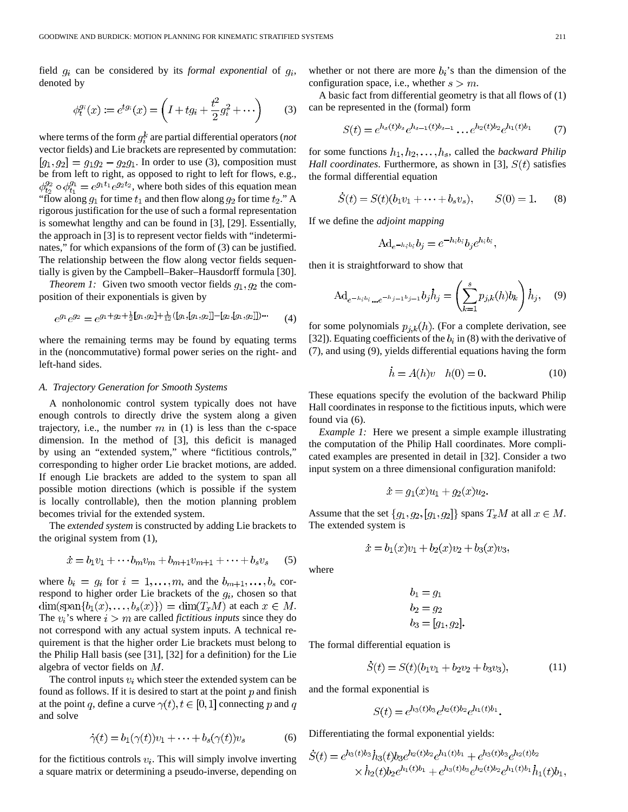field  $g_i$  can be considered by its *formal exponential* of  $g_i$ , denoted by

$$
\phi_t^{g_i}(x) := e^{t g_i}(x) = \left( I + t g_i + \frac{t^2}{2} g_i^2 + \cdots \right) \tag{3}
$$

where terms of the form  $g_i^k$  are partial differential operators (*not* vector fields) and Lie brackets are represented by commutation:  $[g_1, g_2] = g_1 g_2 - g_2 g_1$ . In order to use (3), composition must be from left to right, as opposed to right to left for flows, e.g.,  $\phi_{t_2}^{g_2} \circ \phi_{t_1}^{g_1} = e^{g_1 t_1} e^{g_2 t_2}$ , where both sides of this equation mean "flow along  $g_1$  for time  $t_1$  and then flow along  $g_2$  for time  $t_2$ ." A rigorous justification for the use of such a formal representation is somewhat lengthy and can be found in [3], [29]. Essentially, the approach in [3] is to represent vector fields with "indeterminates," for which expansions of the form of (3) can be justified. The relationship between the flow along vector fields sequentially is given by the Campbell–Baker–Hausdorff formula [30].

*Theorem 1:* Given two smooth vector fields  $g_1, g_2$  the composition of their exponentials is given by

$$
e^{g_1}e^{g_2} = e^{g_1+g_2+\frac{1}{2}[g_1,g_2]+\frac{1}{12}([g_1,[g_1,g_2]]-[g_2,[g_1,g_2]])\cdots} \tag{4}
$$

where the remaining terms may be found by equating terms in the (noncommutative) formal power series on the right- and left-hand sides.

## *A. Trajectory Generation for Smooth Systems*

A nonholonomic control system typically does not have enough controls to directly drive the system along a given trajectory, i.e., the number  $m$  in (1) is less than the c-space dimension. In the method of [3], this deficit is managed by using an "extended system," where "fictitious controls," corresponding to higher order Lie bracket motions, are added. If enough Lie brackets are added to the system to span all possible motion directions (which is possible if the system is locally controllable), then the motion planning problem becomes trivial for the extended system.

The *extended system* is constructed by adding Lie brackets to the original system from (1),

$$
\dot{x} = b_1 v_1 + \dots + b_m v_m + b_{m+1} v_{m+1} + \dots + b_s v_s \tag{5}
$$

where  $b_i = g_i$  for  $i = 1, ..., m$ , and the  $b_{m+1}, ..., b_s$  correspond to higher order Lie brackets of the  $g_i$ , chosen so that  $\dim(\text{span}\{b_1(x),\ldots,b_s(x)\}) = \dim(T_xM)$  at each  $x \in M$ . The  $v_i$ 's where  $i > m$  are called *fictitious inputs* since they do not correspond with any actual system inputs. A technical requirement is that the higher order Lie brackets must belong to the Philip Hall basis (see [31], [32] for a definition) for the Lie algebra of vector fields on  $M$ .

The control inputs  $v_i$  which steer the extended system can be found as follows. If it is desired to start at the point  $p$  and finish at the point q, define a curve  $\gamma(t)$ ,  $t \in [0,1]$  connecting p and q and solve

$$
\dot{\gamma}(t) = b_1(\gamma(t))v_1 + \dots + b_s(\gamma(t))v_s \tag{6}
$$

for the fictitious controls  $v_i$ . This will simply involve inverting a square matrix or determining a pseudo-inverse, depending on whether or not there are more  $b_i$ 's than the dimension of the configuration space, i.e., whether  $s > m$ .

A basic fact from differential geometry is that all flows of (1) can be represented in the (formal) form

$$
S(t) = e^{h_s(t)b_s}e^{h_{s-1}(t)b_{s-1}}\dots e^{h_2(t)b_2}e^{h_1(t)b_1}
$$
 (7)

for some functions  $h_1, h_2, \ldots, h_s$ , called the *backward Philip Hall coordinates*. Furthermore, as shown in [3],  $S(t)$  satisfies the formal differential equation

$$
\dot{S}(t) = S(t)(b_1v_1 + \dots + b_sv_s), \qquad S(0) = 1.
$$
 (8)

If we define the *adjoint mapping*

$$
\mathrm{Ad}_{e^{-h_ib_i}}b_j = e^{-h_ib_i}b_je^{h_ib_i}
$$

then it is straightforward to show that

$$
Ad_{e^{-h_ib_i}...e^{-h_{j-1}b_j-1}}b_j\dot{h}_j = \left(\sum_{k=1}^s p_{j,k}(h)b_k\right)\dot{h}_j, \quad (9)
$$

for some polynomials  $p_{j,k}(h)$ . (For a complete derivation, see [32]). Equating coefficients of the  $b_i$  in (8) with the derivative of (7), and using (9), yields differential equations having the form

$$
\dot{h} = A(h)v \quad h(0) = 0. \tag{10}
$$

These equations specify the evolution of the backward Philip Hall coordinates in response to the fictitious inputs, which were found via (6).

*Example 1:* Here we present a simple example illustrating the computation of the Philip Hall coordinates. More complicated examples are presented in detail in [32]. Consider a two input system on a three dimensional configuration manifold:

$$
\dot{x} = g_1(x)u_1 + g_2(x)u_2
$$

Assume that the set  $\{g_1, g_2, [g_1, g_2]\}$  spans  $T_xM$  at all  $x \in M$ . The extended system is

$$
\dot{x} = b_1(x)v_1 + b_2(x)v_2 + b_3(x)v_3,
$$

where

$$
b_1 = g_1
$$
  
\n
$$
b_2 = g_2
$$
  
\n
$$
b_3 = [g_1, g_2].
$$

The formal differential equation is

$$
\dot{S}(t) = S(t)(b_1v_1 + b_2v_2 + b_3v_3),\tag{11}
$$

and the formal exponential is

$$
S(t) = e^{h_3(t)b_3}e^{h_2(t)b_2}e^{h_1(t)b_1}
$$

Differentiating the formal exponential yields:

$$
\dot{S}(t) = e^{h_3(t)b_3} \dot{h}_3(t) b_3 e^{h_2(t)b_2} e^{h_1(t)b_1} + e^{h_3(t)b_3} e^{h_2(t)b_2}
$$

$$
\times \dot{h}_2(t) b_2 e^{h_1(t)b_1} + e^{h_3(t)b_3} e^{h_2(t)b_2} e^{h_1(t)b_1} \dot{h}_1(t)b_1,
$$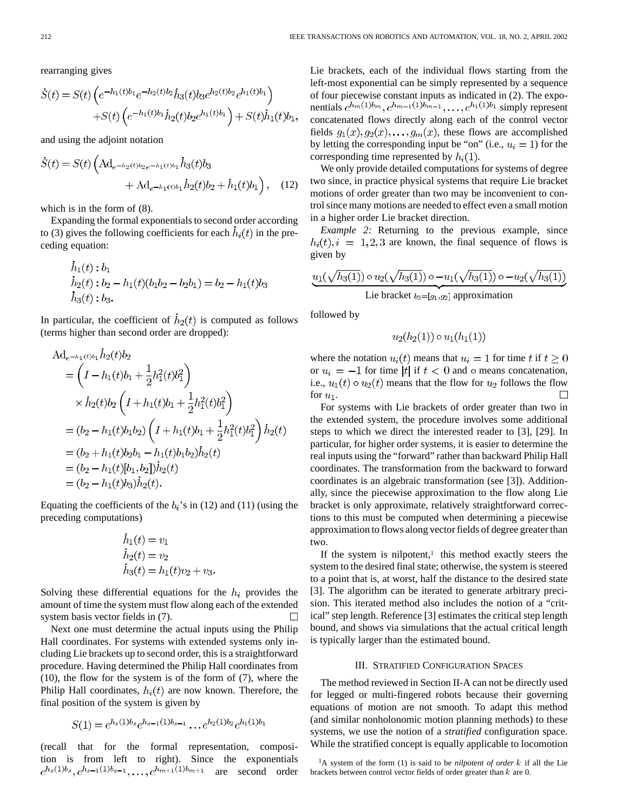rearranging gives

$$
\dot{S}(t) = S(t) \left( e^{-h_1(t)b_1} e^{-h_2(t)b_2} \dot{h}_3(t) b_3 e^{h_2(t)b_2} e^{h_1(t)b_1} \right) \n+ S(t) \left( e^{-h_1(t)b_1} \dot{h}_2(t) b_2 e^{h_1(t)b_1} \right) + S(t) \dot{h}_1(t)b_1,
$$

and using the adjoint notation

$$
\dot{S}(t) = S(t) \left( \mathrm{Ad}_{e^{-h_2(t)b_2}e^{-h_1(t)b_1}} \dot{h}_3(t)b_3 + \mathrm{Ad}_{e^{-h_1(t)b_1}} \dot{h}_2(t)b_2 + \dot{h}_1(t)b_1 \right), \quad (12)
$$

which is in the form of (8).

Expanding the formal exponentials to second order according to (3) gives the following coefficients for each  $h_i(t)$  in the preceding equation:

$$
\dot{h}_1(t): b_1\n\dot{h}_2(t): b_2 - h_1(t)(b_1b_2 - b_2b_1) = b_2 - h_1(t)b_3\n\dot{h}_3(t): b_3.
$$

In particular, the coefficient of  $\dot{h}_2(t)$  is computed as follows (terms higher than second order are dropped):

$$
Ad_{e^{-h_1(t)b_1}}h_2(t)b_2
$$
  
=  $\left(I - h_1(t)b_1 + \frac{1}{2}h_1^2(t)b_1^2\right)$   
 $\times h_2(t)b_2\left(I + h_1(t)b_1 + \frac{1}{2}h_1^2(t)b_1^2\right)$   
=  $(b_2 - h_1(t)b_1b_2)\left(I + h_1(t)b_1 + \frac{1}{2}h_1^2(t)b_1^2\right)h_2(t)$   
=  $(b_2 + h_1(t)b_2b_1 - h_1(t)b_1b_2)h_2(t)$   
=  $(b_2 - h_1(t)[b_1, b_2])h_2(t)$   
=  $(b_2 - h_1(t)b_3)h_2(t)$ .

Equating the coefficients of the  $b_i$ 's in (12) and (11) (using the preceding computations)

$$
\dot{h}_1(t) = v_1
$$
  
\n
$$
\dot{h}_2(t) = v_2
$$
  
\n
$$
\dot{h}_3(t) = h_1(t)v_2 + v_3.
$$

Solving these differential equations for the  $h_i$  provides the amount of time the system must flow along each of the extended system basis vector fields in (7). П

Next one must determine the actual inputs using the Philip Hall coordinates. For systems with extended systems only including Lie brackets up to second order, this is a straightforward procedure. Having determined the Philip Hall coordinates from (10), the flow for the system is of the form of (7), where the Philip Hall coordinates,  $h_i(t)$  are now known. Therefore, the final position of the system is given by

$$
S(1) = e^{h_s(1)b_s}e^{h_{s-1}(1)b_{s-1}}\dots e^{h_2(1)b_2}e^{h_1(1)b_1}
$$

(recall that for the formal representation, composition is from left to right). Since the exponentials  $e^{h_s(1)b_s}, e^{h_{s-1}(1)b_{s-1}}, \ldots, e^{h_{m+1}(1)b_{m+1}}$  are second order Lie brackets, each of the individual flows starting from the left-most exponential can be simply represented by a sequence of four piecewise constant inputs as indicated in (2). The exponentials  $e^{h_m(1)b_m}, e^{h_{m-1}(1)b_{m-1}}, \ldots, e^{h_1(1)b_1}$  simply represent concatenated flows directly along each of the control vector fields  $g_1(x), g_2(x), \ldots, g_m(x)$ , these flows are accomplished by letting the corresponding input be "on" (i.e.,  $u_i = 1$ ) for the corresponding time represented by  $h_i(1)$ .

We only provide detailed computations for systems of degree two since, in practice physical systems that require Lie bracket motions of order greater than two may be inconvenient to control since many motions are needed to effect even a small motion in a higher order Lie bracket direction.

*Example 2:* Returning to the previous example, since  $h_i(t)$ ,  $i = 1, 2, 3$  are known, the final sequence of flows is given by

$$
\underbrace{u_1(\sqrt{h_3(1)}) \circ u_2(\sqrt{h_3(1)}) \circ -u_1(\sqrt{h_3(1)}) \circ -u_2(\sqrt{h_3(1)})}_{\text{Lie bracket } b_3 = [g_1, g_2] \text{ approximation}}
$$

followed by

$$
u_2(h_2(1)) \circ u_1(h_1(1))
$$

where the notation  $u_i(t)$  means that  $u_i = 1$  for time t if  $t \geq 0$ or  $u_i = -1$  for time |t| if  $t < 0$  and  $\circ$  means concatenation, i.e.,  $u_1(t) \circ u_2(t)$  means that the flow for  $u_2$  follows the flow for  $u_1$ .

For systems with Lie brackets of order greater than two in the extended system, the procedure involves some additional steps to which we direct the interested reader to [3], [29]. In particular, for higher order systems, it is easier to determine the real inputs using the "forward" rather than backward Philip Hall coordinates. The transformation from the backward to forward coordinates is an algebraic transformation (see [3]). Additionally, since the piecewise approximation to the flow along Lie bracket is only approximate, relatively straightforward corrections to this must be computed when determining a piecewise approximation to flows along vector fields of degree greater than two.

If the system is nilpotent, $\frac{1}{1}$  this method exactly steers the system to the desired final state; otherwise, the system is steered to a point that is, at worst, half the distance to the desired state [3]. The algorithm can be iterated to generate arbitrary precision. This iterated method also includes the notion of a "critical" step length. Reference [3] estimates the critical step length bound, and shows via simulations that the actual critical length is typically larger than the estimated bound.

## III. STRATIFIED CONFIGURATION SPACES

The method reviewed in Section II-A can not be directly used for legged or multi-fingered robots because their governing equations of motion are not smooth. To adapt this method (and similar nonholonomic motion planning methods) to these systems, we use the notion of a *stratified* configuration space. While the stratified concept is equally applicable to locomotion

<sup>1</sup>A system of the form (1) is said to be *nilpotent of order* k if all the Lie brackets between control vector fields of order greater than  $k$  are 0.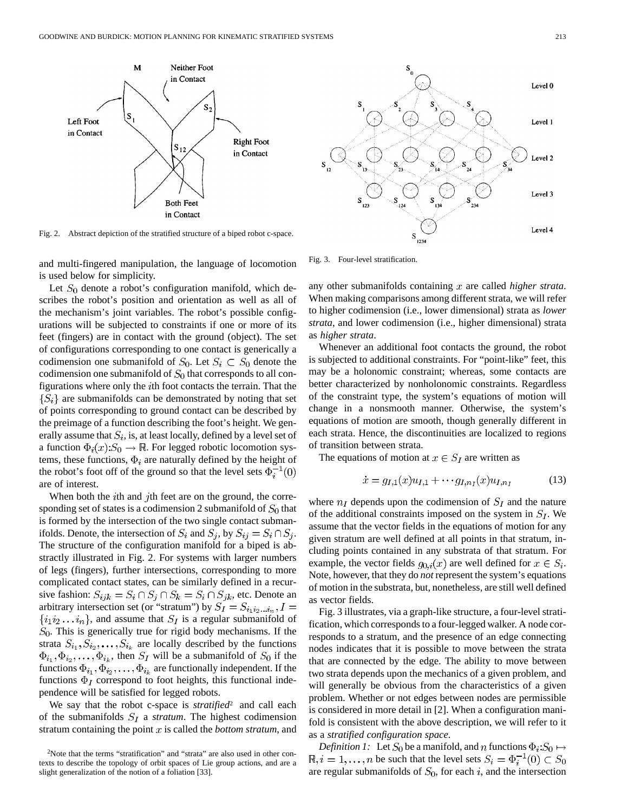

Fig. 2. Abstract depiction of the stratified structure of a biped robot c-space.

and multi-fingered manipulation, the language of locomotion is used below for simplicity.

Let  $S_0$  denote a robot's configuration manifold, which describes the robot's position and orientation as well as all of the mechanism's joint variables. The robot's possible configurations will be subjected to constraints if one or more of its feet (fingers) are in contact with the ground (object). The set of configurations corresponding to one contact is generically a codimension one submanifold of  $S_0$ . Let  $S_i \subset S_0$  denote the codimension one submanifold of  $S_0$  that corresponds to all configurations where only the  $i$ th foot contacts the terrain. That the  $\{S_i\}$  are submanifolds can be demonstrated by noting that set of points corresponding to ground contact can be described by the preimage of a function describing the foot's height. We generally assume that  $S_i$ , is, at least locally, defined by a level set of a function  $\Phi_i(x): S_0 \to \mathbb{R}$ . For legged robotic locomotion systems, these functions,  $\Phi_i$  are naturally defined by the height of the robot's foot off of the ground so that the level sets  $\Phi_i^{-1}(0)$ are of interest.

When both the  $i$ th and  $j$ th feet are on the ground, the corresponding set of states is a codimension 2 submanifold of  $S_0$  that is formed by the intersection of the two single contact submanifolds. Denote, the intersection of  $S_i$  and  $S_j$ , by  $S_{ij} = S_i \cap S_j$ . The structure of the configuration manifold for a biped is abstractly illustrated in Fig. 2. For systems with larger numbers of legs (fingers), further intersections, corresponding to more complicated contact states, can be similarly defined in a recursive fashion:  $S_{ijk} = S_i \cap S_j \cap S_k = S_i \cap S_{jk}$ , etc. Denote an arbitrary intersection set (or "stratum") by  $S_I = S_{i_1 i_2 \dots i_n}$ ,  $I =$  $\{i_1 i_2 \ldots i_n\}$ , and assume that  $S_I$  is a regular submanifold of  $S_0$ . This is generically true for rigid body mechanisms. If the strata  $S_{i_1}, S_{i_2}, \ldots, S_{i_k}$  are locally described by the functions  $\Phi_{i_1}, \Phi_{i_2}, \ldots, \Phi_{i_k}$ , then  $S_I$  will be a submanifold of  $S_0$  if the functions  $\Phi_{i_1}, \Phi_{i_2}, \dots, \Phi_{i_k}$  are functionally independent. If the functions  $\Phi_I$  correspond to foot heights, this functional independence will be satisfied for legged robots.

We say that the robot c-space is *stratified*<sup>2</sup> and call each of the submanifolds  $S_I$  a *stratum*. The highest codimension stratum containing the point  $x$  is called the *bottom stratum*, and



Fig. 3. Four-level stratification.

any other submanifolds containing x are called *higher strata*. When making comparisons among different strata, we will refer to higher codimension (i.e., lower dimensional) strata as *lower strata*, and lower codimension (i.e., higher dimensional) strata as *higher strata*.

Whenever an additional foot contacts the ground, the robot is subjected to additional constraints. For "point-like" feet, this may be a holonomic constraint; whereas, some contacts are better characterized by nonholonomic constraints. Regardless of the constraint type, the system's equations of motion will change in a nonsmooth manner. Otherwise, the system's equations of motion are smooth, though generally different in each strata. Hence, the discontinuities are localized to regions of transition between strata.

The equations of motion at  $x \in S_I$  are written as

$$
\dot{x} = g_{I,1}(x)u_{I,1} + \cdots g_{I,n_I}(x)u_{I,n_I}
$$
(13)

where  $n_I$  depends upon the codimension of  $S_I$  and the nature of the additional constraints imposed on the system in  $S_I$ . We assume that the vector fields in the equations of motion for any given stratum are well defined at all points in that stratum, including points contained in any substrata of that stratum. For example, the vector fields  $g_{0,i}(x)$  are well defined for  $x \in S_i$ . Note, however, that they do *not* represent the system's equations of motion in the substrata, but, nonetheless, are still well defined as vector fields.

Fig. 3 illustrates, via a graph-like structure, a four-level stratification, which corresponds to a four-legged walker. A node corresponds to a stratum, and the presence of an edge connecting nodes indicates that it is possible to move between the strata that are connected by the edge. The ability to move between two strata depends upon the mechanics of a given problem, and will generally be obvious from the characteristics of a given problem. Whether or not edges between nodes are permissible is considered in more detail in [2]. When a configuration manifold is consistent with the above description, we will refer to it as a *stratified configuration space*.

*Definition 1:* Let  $S_0$  be a manifold, and *n* functions  $\Phi_i$ :  $S_0 \mapsto$  $\mathbb{R}, i = 1, \ldots, n$  be such that the level sets  $S_i = \Phi_i^{-1}(0) \subset S_0$ are regular submanifolds of  $S_0$ , for each i, and the intersection

<sup>2</sup>Note that the terms "stratification" and "strata" are also used in other contexts to describe the topology of orbit spaces of Lie group actions, and are a slight generalization of the notion of a foliation [33].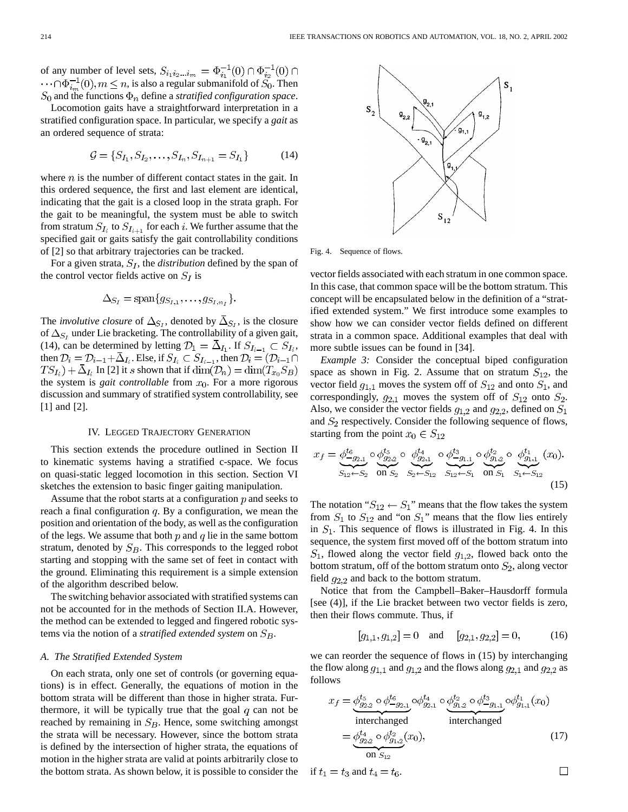of any number of level sets, , is also a regular submanifold of  $S_0$ . Then  $S_0$  and the functions  $\Phi_n$  define a *stratified configuration space*.

Locomotion gaits have a straightforward interpretation in a stratified configuration space. In particular, we specify a *gait* as an ordered sequence of strata:

$$
\mathcal{G} = \{S_{I_1}, S_{I_2}, \dots, S_{I_n}, S_{I_{n+1}} = S_{I_1}\}\tag{14}
$$

where  $n$  is the number of different contact states in the gait. In this ordered sequence, the first and last element are identical, indicating that the gait is a closed loop in the strata graph. For the gait to be meaningful, the system must be able to switch from stratum  $S_{I_i}$  to  $S_{I_{i+1}}$  for each i. We further assume that the specified gait or gaits satisfy the gait controllability conditions of [2] so that arbitrary trajectories can be tracked.

For a given strata,  $S_I$ , the *distribution* defined by the span of the control vector fields active on  $S_I$  is

$$
\Delta_{S_I} = \mathrm{span}\{g_{S_{I,1}},\ldots,g_{S_{I,n_I}}\}.
$$

The *involutive closure* of  $\Delta_{S_I}$ , denoted by  $\overline{\Delta}_{S_I}$ , is the closure of  $\Delta_{S_t}$  under Lie bracketing. The controllability of a given gait, (14), can be determined by letting  $\mathcal{D}_1 = \Delta_{I_1}$ . If  $S_{I_{i-1}} \subset S_{I_i}$ , then  $\mathcal{D}_i = \mathcal{D}_{i-1} + \bar{\Delta}_{I_i}$ . Else, if  $S_{I_i} \subset S_{I_{i-1}}$ , then  $\mathcal{D}_i = (\mathcal{D}_{i-1} \cap$  $TS_{I_i}$ ) +  $\Delta_{I_i}$  In [2] it s shown that if  $\dim(\mathcal{D}_n) = \dim(T_{x_0}S_B)$ the system is *gait controllable* from  $x_0$ . For a more rigorous discussion and summary of stratified system controllability, see [1] and [2].

## IV. LEGGED TRAJECTORY GENERATION

This section extends the procedure outlined in Section II to kinematic systems having a stratified c-space. We focus on quasi-static legged locomotion in this section. Section VI sketches the extension to basic finger gaiting manipulation.

Assume that the robot starts at a configuration  $p$  and seeks to reach a final configuration  $q$ . By a configuration, we mean the position and orientation of the body, as well as the configuration of the legs. We assume that both  $p$  and  $q$  lie in the same bottom stratum, denoted by  $S_B$ . This corresponds to the legged robot starting and stopping with the same set of feet in contact with the ground. Eliminating this requirement is a simple extension of the algorithm described below.

The switching behavior associated with stratified systems can not be accounted for in the methods of Section II.A. However, the method can be extended to legged and fingered robotic systems via the notion of a *stratified extended system* on  $S_B$ .

## *A. The Stratified Extended System*

On each strata, only one set of controls (or governing equations) is in effect. Generally, the equations of motion in the bottom strata will be different than those in higher strata. Furthermore, it will be typically true that the goal  $q$  can not be reached by remaining in  $S_B$ . Hence, some switching amongst the strata will be necessary. However, since the bottom strata is defined by the intersection of higher strata, the equations of motion in the higher strata are valid at points arbitrarily close to the bottom strata. As shown below, it is possible to consider the



Fig. 4. Sequence of flows.

vector fields associated with each stratum in one common space. In this case, that common space will be the bottom stratum. This concept will be encapsulated below in the definition of a "stratified extended system." We first introduce some examples to show how we can consider vector fields defined on different strata in a common space. Additional examples that deal with more subtle issues can be found in [34].

*Example 3:* Consider the conceptual biped configuration space as shown in Fig. 2. Assume that on stratum  $S_{12}$ , the vector field  $g_{1,1}$  moves the system off of  $S_{12}$  and onto  $S_1$ , and correspondingly,  $g_{2,1}$  moves the system off of  $S_{12}$  onto  $S_2$ . Also, we consider the vector fields  $g_{1,2}$  and  $g_{2,2}$ , defined on  $S_1$ and  $S_2$  respectively. Consider the following sequence of flows, starting from the point  $x_0 \in S_{12}$ 

$$
x_f = \underbrace{\phi^{t_6}_{-g_{2,1}}}_{S_{12} \leftarrow S_2} \circ \underbrace{\phi^{t_5}_{g_{2,2}}}_{S_2} \circ \underbrace{\phi^{t_4}_{g_{2,1}}}_{S_2 \leftarrow S_{12}} \circ \underbrace{\phi^{t_3}_{-g_{1,1}}}_{S_{12} \leftarrow S_1} \circ \underbrace{\phi^{t_2}_{g_{1,2}}}_{S_1} \circ \underbrace{\phi^{t_1}_{g_{1,1}}}_{S_1 \leftarrow S_{12}} (x_0). \tag{15}
$$

The notation " $S_{12} \leftarrow S_1$ " means that the flow takes the system from  $S_1$  to  $S_{12}$  and "on  $S_1$ " means that the flow lies entirely in  $S_1$ . This sequence of flows is illustrated in Fig. 4. In this sequence, the system first moved off of the bottom stratum into  $S_1$ , flowed along the vector field  $g_{1,2}$ , flowed back onto the bottom stratum, off of the bottom stratum onto  $S_2$ , along vector field  $q_{2,2}$  and back to the bottom stratum.

Notice that from the Campbell–Baker–Hausdorff formula [see (4)], if the Lie bracket between two vector fields is zero, then their flows commute. Thus, if

$$
[g_{1,1}, g_{1,2}] = 0
$$
 and  $[g_{2,1}, g_{2,2}] = 0,$  (16)

we can reorder the sequence of flows in (15) by interchanging the flow along  $g_{1,1}$  and  $g_{1,2}$  and the flows along  $g_{2,1}$  and  $g_{2,2}$  as follows

$$
x_f = \underbrace{\phi_{g_{2,2}}^{t_5} \circ \phi_{-g_{2,1}}^{t_6}}_{\text{interchanged}} \circ \underbrace{\phi_{g_{1,2}}^{t_4} \circ \phi_{g_{1,2}}^{t_2} \circ \phi_{-g_{1,1}}^{t_3}}_{\text{interchanged}} \circ \underbrace{\phi_{g_{1,2}}^{t_1} \circ \phi_{g_{1,1}}^{t_1}}_{\text{on } S_{12}}(x_0),
$$
\n(17)

if 
$$
t_1 = t_3
$$
 and  $t_4 = t_6$ .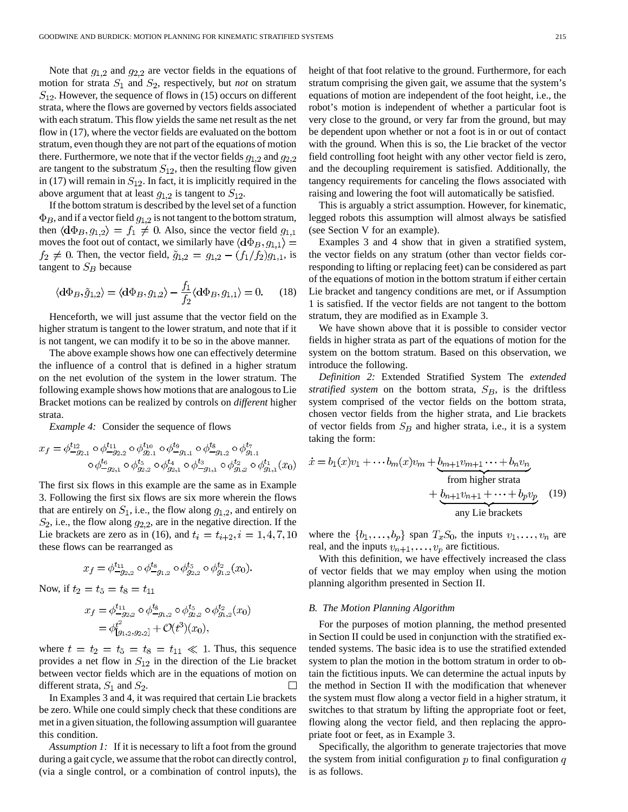Note that  $g_{1,2}$  and  $g_{2,2}$  are vector fields in the equations of motion for strata  $S_1$  and  $S_2$ , respectively, but *not* on stratum  $S_{12}$ . However, the sequence of flows in (15) occurs on different strata, where the flows are governed by vectors fields associated with each stratum. This flow yields the same net result as the net flow in (17), where the vector fields are evaluated on the bottom stratum, even though they are not part of the equations of motion there. Furthermore, we note that if the vector fields  $g_{1,2}$  and  $g_{2,2}$ are tangent to the substratum  $S_{12}$ , then the resulting flow given in (17) will remain in  $S_{12}$ . In fact, it is implicitly required in the above argument that at least  $g_{1,2}$  is tangent to  $S_{12}$ .

If the bottom stratum is described by the level set of a function  $\Phi_B$ , and if a vector field  $g_{1,2}$  is not tangent to the bottom stratum, then  $\langle d\Phi_B, g_{1,2} \rangle = f_1 \neq 0$ . Also, since the vector field  $g_{1,1}$ moves the foot out of contact, we similarly have  $\langle d\Phi_B, g_{1,1} \rangle =$  $f_2 \neq 0$ . Then, the vector field,  $\tilde{g}_{1,2} = g_{1,2} - (f_1/f_2)g_{1,1}$ , is tangent to  $S_B$  because

$$
\langle \mathbf{d}\Phi_B, \tilde{g}_{1,2} \rangle = \langle \mathbf{d}\Phi_B, g_{1,2} \rangle - \frac{f_1}{f_2} \langle \mathbf{d}\Phi_B, g_{1,1} \rangle = 0. \tag{18}
$$

Henceforth, we will just assume that the vector field on the higher stratum is tangent to the lower stratum, and note that if it is not tangent, we can modify it to be so in the above manner.

The above example shows how one can effectively determine the influence of a control that is defined in a higher stratum on the net evolution of the system in the lower stratum. The following example shows how motions that are analogous to Lie Bracket motions can be realized by controls on *different* higher strata.

*Example 4:* Consider the sequence of flows

$$
x_f = \phi_{-g_{2,1}}^{t_{12}} \circ \phi_{-g_{2,2}}^{t_{11}} \circ \phi_{g_{2,1}}^{t_{10}} \circ \phi_{-g_{1,1}}^{t_{9}} \circ \phi_{-g_{1,2}}^{t_{8}} \circ \phi_{g_{1,1}}^{t_{7}} \circ \phi_{g_{1,2}}^{t_{8}} \circ \phi_{g_{1,1}}^{t_{9}}
$$

$$
\circ \phi_{-g_{2,1}}^{t_{6}} \circ \phi_{g_{2,2}}^{t_{5}} \circ \phi_{g_{2,1}}^{t_{4}} \circ \phi_{-g_{1,1}}^{t_{3}} \circ \phi_{g_{1,2}}^{t_{2}} \circ \phi_{g_{1,1}}^{t_{1}}(x_{0})
$$

The first six flows in this example are the same as in Example 3. Following the first six flows are six more wherein the flows that are entirely on  $S_1$ , i.e., the flow along  $g_{1,2}$ , and entirely on  $S_2$ , i.e., the flow along  $g_{2,2}$ , are in the negative direction. If the Lie brackets are zero as in (16), and  $t_i = t_{i+2}$ ,  $i = 1, 4, 7, 10$ these flows can be rearranged as

$$
x_f = \phi_{-g_{2,2}}^{t_{11}} \circ \phi_{-g_{1,2}}^{t_5} \circ \phi_{g_{2,2}}^{t_5} \circ \phi_{g_{1,2}}^{t_2}(x_0)
$$

Now, if  $t_2 = t_5 = t_8 = t_{11}$ 

$$
x_f = \phi_{-g_{2,2}}^{t_{11}} \circ \phi_{-g_{1,2}}^{t_8} \circ \phi_{g_{2,2}}^{t_5} \circ \phi_{g_{1,2}}^{t_2}(x_0)
$$
  
=  $\phi_{[g_{1,2}, g_{2,2}]}^{t^2} + \mathcal{O}(t^3)(x_0),$ 

where  $t = t_2 = t_5 = t_8 = t_{11} \ll 1$ . Thus, this sequence provides a net flow in  $S_{12}$  in the direction of the Lie bracket between vector fields which are in the equations of motion on different strata,  $S_1$  and  $S_2$ .  $\Box$ 

In Examples 3 and 4, it was required that certain Lie brackets be zero. While one could simply check that these conditions are met in a given situation, the following assumption will guarantee this condition.

*Assumption 1:* If it is necessary to lift a foot from the ground during a gait cycle, we assume that the robot can directly control, (via a single control, or a combination of control inputs), the height of that foot relative to the ground. Furthermore, for each stratum comprising the given gait, we assume that the system's equations of motion are independent of the foot height, i.e., the robot's motion is independent of whether a particular foot is very close to the ground, or very far from the ground, but may be dependent upon whether or not a foot is in or out of contact with the ground. When this is so, the Lie bracket of the vector field controlling foot height with any other vector field is zero, and the decoupling requirement is satisfied. Additionally, the tangency requirements for canceling the flows associated with raising and lowering the foot will automatically be satisfied.

This is arguably a strict assumption. However, for kinematic, legged robots this assumption will almost always be satisfied (see Section V for an example).

Examples 3 and 4 show that in given a stratified system, the vector fields on any stratum (other than vector fields corresponding to lifting or replacing feet) can be considered as part of the equations of motion in the bottom stratum if either certain Lie bracket and tangency conditions are met, or if Assumption 1 is satisfied. If the vector fields are not tangent to the bottom stratum, they are modified as in Example 3.

We have shown above that it is possible to consider vector fields in higher strata as part of the equations of motion for the system on the bottom stratum. Based on this observation, we introduce the following.

*Definition 2:* Extended Stratified System The *extended stratified system* on the bottom strata,  $S_B$ , is the driftless system comprised of the vector fields on the bottom strata, chosen vector fields from the higher strata, and Lie brackets of vector fields from  $S_B$  and higher strata, i.e., it is a system taking the form:

$$
\dot{x} = b_1(x)v_1 + \dots + b_m(x)v_m + \underbrace{b_{m+1}v_{m+1}\dots + b_nv_n}_{\text{from higher strata}} + \underbrace{b_{n+1}v_{n+1} + \dots + b_pv_p}_{\text{any Lie brackets}} \quad (19)
$$

where the  $\{b_1, \ldots, b_p\}$  span  $T_xS_0$ , the inputs  $v_1, \ldots, v_n$  are real, and the inputs  $v_{n+1}, \ldots, v_p$  are fictitious.

With this definition, we have effectively increased the class of vector fields that we may employ when using the motion planning algorithm presented in Section II.

#### *B. The Motion Planning Algorithm*

For the purposes of motion planning, the method presented in Section II could be used in conjunction with the stratified extended systems. The basic idea is to use the stratified extended system to plan the motion in the bottom stratum in order to obtain the fictitious inputs. We can determine the actual inputs by the method in Section II with the modification that whenever the system must flow along a vector field in a higher stratum, it switches to that stratum by lifting the appropriate foot or feet, flowing along the vector field, and then replacing the appropriate foot or feet, as in Example 3.

Specifically, the algorithm to generate trajectories that move the system from initial configuration  $p$  to final configuration  $q$ is as follows.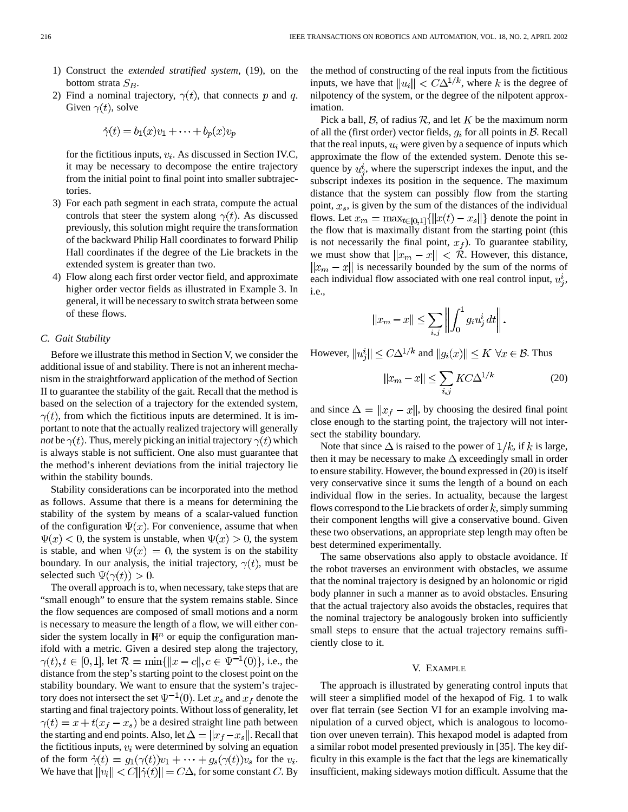- 1) Construct the *extended stratified system*, (19), on the bottom strata  $S_B$ .
- 2) Find a nominal trajectory,  $\gamma(t)$ , that connects p and q. Given  $\gamma(t)$ , solve

$$
\dot{\gamma}(t) = b_1(x)v_1 + \dots + b_p(x)v_p
$$

for the fictitious inputs,  $v_i$ . As discussed in Section IV.C, it may be necessary to decompose the entire trajectory from the initial point to final point into smaller subtrajectories.

- 3) For each path segment in each strata, compute the actual controls that steer the system along  $\gamma(t)$ . As discussed previously, this solution might require the transformation of the backward Philip Hall coordinates to forward Philip Hall coordinates if the degree of the Lie brackets in the extended system is greater than two.
- 4) Flow along each first order vector field, and approximate higher order vector fields as illustrated in Example 3. In general, it will be necessary to switch strata between some of these flows.

## *C. Gait Stability*

Before we illustrate this method in Section V, we consider the additional issue of and stability. There is not an inherent mechanism in the straightforward application of the method of Section II to guarantee the stability of the gait. Recall that the method is based on the selection of a trajectory for the extended system,  $\gamma(t)$ , from which the fictitious inputs are determined. It is important to note that the actually realized trajectory will generally *not* be  $\gamma(t)$ . Thus, merely picking an initial trajectory  $\gamma(t)$  which is always stable is not sufficient. One also must guarantee that the method's inherent deviations from the initial trajectory lie within the stability bounds.

Stability considerations can be incorporated into the method as follows. Assume that there is a means for determining the stability of the system by means of a scalar-valued function of the configuration  $\Psi(x)$ . For convenience, assume that when  $\Psi(x)$  < 0, the system is unstable, when  $\Psi(x) > 0$ , the system is stable, and when  $\Psi(x) = 0$ , the system is on the stability boundary. In our analysis, the initial trajectory,  $\gamma(t)$ , must be selected such  $\Psi(\gamma(t)) > 0$ .

The overall approach is to, when necessary, take steps that are "small enough" to ensure that the system remains stable. Since the flow sequences are composed of small motions and a norm is necessary to measure the length of a flow, we will either consider the system locally in  $\mathbb{R}^n$  or equip the configuration manifold with a metric. Given a desired step along the trajectory,  $\gamma(t), t \in [0,1]$ , let  $\mathcal{R} = \min\{||x - c||, c \in \Psi^{-1}(0)\}\)$ , i.e., the distance from the step's starting point to the closest point on the stability boundary. We want to ensure that the system's trajectory does not intersect the set  $\Psi^{-1}(0)$ . Let  $x_s$  and  $x_f$  denote the starting and final trajectory points. Without loss of generality, let  $\gamma(t) = x + t(x_f - x_s)$  be a desired straight line path between the starting and end points. Also, let  $\Delta = ||x_f - x_s||$ . Recall that the fictitious inputs,  $v_i$  were determined by solving an equation of the form  $\dot{\gamma}(t) = g_1(\gamma(t))v_1 + \cdots + g_s(\gamma(t))v_s$  for the  $v_i$ . We have that  $||v_i|| < C||\dot{\gamma}(t)|| = C\Delta$ , for some constant C. By the method of constructing of the real inputs from the fictitious inputs, we have that  $||u_i|| < C\Delta^{1/k}$ , where k is the degree of nilpotency of the system, or the degree of the nilpotent approximation.

Pick a ball,  $\beta$ , of radius  $\mathcal{R}$ , and let K be the maximum norm of all the (first order) vector fields,  $g_i$  for all points in  $\beta$ . Recall that the real inputs,  $u_i$  were given by a sequence of inputs which approximate the flow of the extended system. Denote this sequence by  $u_i^i$ , where the superscript indexes the input, and the subscript indexes its position in the sequence. The maximum distance that the system can possibly flow from the starting point,  $x_s$ , is given by the sum of the distances of the individual flows. Let  $x_m = \max_{t \in [0,1]} \{|x(t) - x_s|\}$  denote the point in the flow that is maximally distant from the starting point (this is not necessarily the final point,  $x_f$ ). To guarantee stability, we must show that  $||x_m - x|| < \mathcal{R}$ . However, this distance,  $||x_m - x||$  is necessarily bounded by the sum of the norms of each individual flow associated with one real control input,  $u_i^i$ , i.e.,

$$
||x_m - x|| \le \sum_{i,j} \left\| \int_0^1 g_i u_j^i dt \right\|.
$$

However,  $||u^i|| \leq C\Delta^{1/k}$  and  $||g_i(x)|| \leq K \,\forall x \in \mathcal{B}$ . Thus

$$
||x_m - x|| \le \sum_{i,j} K C \Delta^{1/k} \tag{20}
$$

and since  $\Delta = ||x_f - x||$ , by choosing the desired final point close enough to the starting point, the trajectory will not intersect the stability boundary.

Note that since  $\Delta$  is raised to the power of  $1/k$ , if k is large, then it may be necessary to make  $\Delta$  exceedingly small in order to ensure stability. However, the bound expressed in (20) is itself very conservative since it sums the length of a bound on each individual flow in the series. In actuality, because the largest flows correspond to the Lie brackets of order  $k$ , simply summing their component lengths will give a conservative bound. Given these two observations, an appropriate step length may often be best determined experimentally.

The same observations also apply to obstacle avoidance. If the robot traverses an environment with obstacles, we assume that the nominal trajectory is designed by an holonomic or rigid body planner in such a manner as to avoid obstacles. Ensuring that the actual trajectory also avoids the obstacles, requires that the nominal trajectory be analogously broken into sufficiently small steps to ensure that the actual trajectory remains sufficiently close to it.

#### V. EXAMPLE

The approach is illustrated by generating control inputs that will steer a simplified model of the hexapod of Fig. 1 to walk over flat terrain (see Section VI for an example involving manipulation of a curved object, which is analogous to locomotion over uneven terrain). This hexapod model is adapted from a similar robot model presented previously in [35]. The key difficulty in this example is the fact that the legs are kinematically insufficient, making sideways motion difficult. Assume that the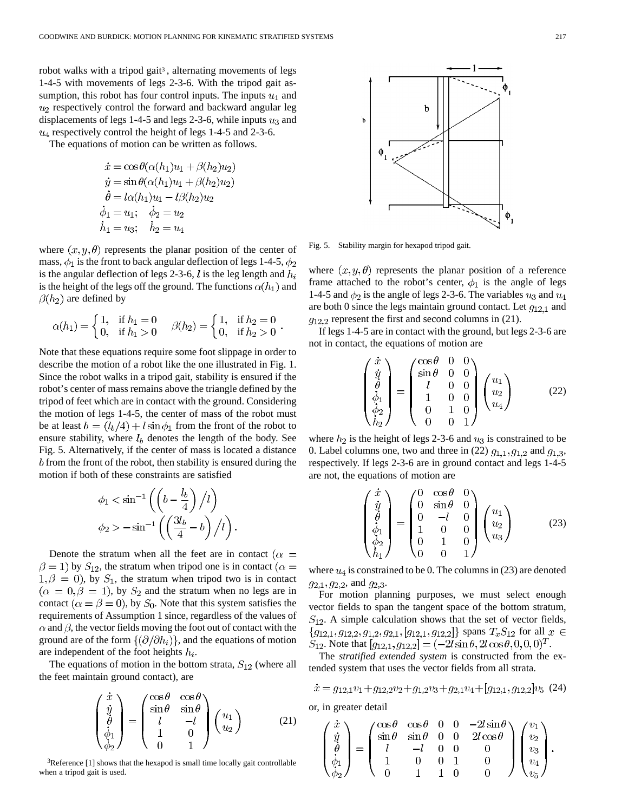robot walks with a tripod gait<sup>3</sup>, alternating movements of legs 1-4-5 with movements of legs 2-3-6. With the tripod gait assumption, this robot has four control inputs. The inputs  $u_1$  and  $u_2$  respectively control the forward and backward angular leg displacements of legs 1-4-5 and legs 2-3-6, while inputs  $u_3$  and  $u_4$  respectively control the height of legs 1-4-5 and 2-3-6.

The equations of motion can be written as follows.

$$
\begin{aligned}\n\dot{x} &= \cos\theta(\alpha(h_1)u_1 + \beta(h_2)u_2) \\
\dot{y} &= \sin\theta(\alpha(h_1)u_1 + \beta(h_2)u_2) \\
\dot{\theta} &= l\alpha(h_1)u_1 - l\beta(h_2)u_2 \\
\dot{\phi}_1 &= u_1; \quad \dot{\phi}_2 &= u_2 \\
\dot{h}_1 &= u_3; \quad \dot{h}_2 &= u_4\n\end{aligned}
$$

where  $(x, y, \theta)$  represents the planar position of the center of mass,  $\phi_1$  is the front to back angular deflection of legs 1-4-5,  $\phi_2$ is the angular deflection of legs 2-3-6,  $l$  is the leg length and  $h_i$ is the height of the legs off the ground. The functions  $\alpha(h_1)$  and  $\beta(h_2)$  are defined by

$$
\alpha(h_1) = \begin{cases} 1, & \text{if } h_1 = 0 \\ 0, & \text{if } h_1 > 0 \end{cases} \quad \beta(h_2) = \begin{cases} 1, & \text{if } h_2 = 0 \\ 0, & \text{if } h_2 > 0 \end{cases}
$$

Note that these equations require some foot slippage in order to describe the motion of a robot like the one illustrated in Fig. 1. Since the robot walks in a tripod gait, stability is ensured if the robot's center of mass remains above the triangle defined by the tripod of feet which are in contact with the ground. Considering the motion of legs 1-4-5, the center of mass of the robot must be at least  $b = (l_b/4) + l \sin \phi_1$  from the front of the robot to ensure stability, where  $l<sub>b</sub>$  denotes the length of the body. See Fig. 5. Alternatively, if the center of mass is located a distance  $b$  from the front of the robot, then stability is ensured during the motion if both of these constraints are satisfied

$$
\phi_1 < \sin^{-1}\left(\left(b - \frac{l_b}{4}\right)\middle/l\right) \\
\phi_2 > -\sin^{-1}\left(\left(\frac{3l_b}{4} - b\right)\middle/l\right).
$$

Denote the stratum when all the feet are in contact ( $\alpha =$  $\beta = 1$ ) by  $S_{12}$ , the stratum when tripod one is in contact ( $\alpha =$  $1, \beta = 0$ , by  $S_1$ , the stratum when tripod two is in contact  $(\alpha = 0, \beta = 1)$ , by  $S_2$  and the stratum when no legs are in contact ( $\alpha = \beta = 0$ ), by  $S_0$ . Note that this system satisfies the requirements of Assumption 1 since, regardless of the values of  $\alpha$  and  $\beta$ , the vector fields moving the foot out of contact with the ground are of the form  $\{(\partial/\partial h_i)\}\$ , and the equations of motion are independent of the foot heights  $h_i$ .

The equations of motion in the bottom strata,  $S_{12}$  (where all the feet maintain ground contact), are

$$
\begin{pmatrix} \dot{x} \\ \dot{y} \\ \dot{\theta} \\ \dot{\phi}_1 \\ \dot{\phi}_2 \end{pmatrix} = \begin{pmatrix} \cos \theta & \cos \theta \\ \sin \theta & \sin \theta \\ l & -l \\ 1 & 0 \\ 0 & 1 \end{pmatrix} \begin{pmatrix} u_1 \\ u_2 \end{pmatrix}
$$
 (21)

 $3$ Reference [1] shows that the hexapod is small time locally gait controllable when a tripod gait is used.



Fig. 5. Stability margin for hexapod tripod gait.

where  $(x, y, \theta)$  represents the planar position of a reference frame attached to the robot's center,  $\phi_1$  is the angle of legs 1-4-5 and  $\phi_2$  is the angle of legs 2-3-6. The variables  $u_3$  and  $u_4$ are both 0 since the legs maintain ground contact. Let  $q_{12,1}$  and  $g_{12,2}$  represent the first and second columns in (21).

If legs 1-4-5 are in contact with the ground, but legs 2-3-6 are not in contact, the equations of motion are

$$
\begin{pmatrix} \dot{x} \\ \dot{y} \\ \dot{\theta} \\ \dot{\phi}_1 \\ \dot{\phi}_2 \\ h_2 \end{pmatrix} = \begin{pmatrix} \cos \theta & 0 & 0 \\ \sin \theta & 0 & 0 \\ l & 0 & 0 \\ 1 & 0 & 0 \\ 0 & 1 & 0 \\ 0 & 0 & 1 \end{pmatrix} \begin{pmatrix} u_1 \\ u_2 \\ u_4 \end{pmatrix}
$$
(22)

where  $h_2$  is the height of legs 2-3-6 and  $u_3$  is constrained to be 0. Label columns one, two and three in (22)  $g_{1,1}, g_{1,2}$  and  $g_{1,3}$ , respectively. If legs 2-3-6 are in ground contact and legs 1-4-5 are not, the equations of motion are

$$
\begin{pmatrix} \dot{x} \\ \dot{y} \\ \dot{\theta} \\ \dot{\phi}_1 \\ \dot{\phi}_2 \\ h_1 \end{pmatrix} = \begin{pmatrix} 0 & \cos \theta & 0 \\ 0 & \sin \theta & 0 \\ 0 & -l & 0 \\ 1 & 0 & 0 \\ 0 & 1 & 0 \\ 0 & 0 & 1 \end{pmatrix} \begin{pmatrix} u_1 \\ u_2 \\ u_3 \end{pmatrix}
$$
(23)

where  $u_4$  is constrained to be 0. The columns in (23) are denoted  $g_{2,1}, g_{2,2},$  and  $g_{2,3}$ .

For motion planning purposes, we must select enough vector fields to span the tangent space of the bottom stratum,  $S_{12}$ . A simple calculation shows that the set of vector fields, spans  $T_xS_{12}$  for all . Note that  $[g_{12,1}, g_{12,2}] = (-2l\sin\theta, 2l\cos\theta, 0, 0, 0)^T$ .

The *stratified extended system* is constructed from the extended system that uses the vector fields from all strata.

$$
\dot{x} = g_{12,1}v_1 + g_{12,2}v_2 + g_{1,2}v_3 + g_{2,1}v_4 + [g_{12,1}, g_{12,2}]v_5
$$
 (24)

or, in greater detail

$$
\begin{pmatrix} \dot{x} \\ \dot{y} \\ \dot{\theta} \\ \dot{\phi}_1 \\ \dot{\phi}_2 \end{pmatrix} = \begin{pmatrix} \cos\theta & \cos\theta & 0 & 0 & -2l\sin\theta \\ \sin\theta & \sin\theta & 0 & 0 & 2l\cos\theta \\ l & -l & 0 & 0 & 0 \\ 1 & 0 & 0 & 1 & 0 \\ 0 & 1 & 1 & 0 & 0 \end{pmatrix} \begin{pmatrix} v_1 \\ v_2 \\ v_3 \\ v_4 \\ v_5 \end{pmatrix}.
$$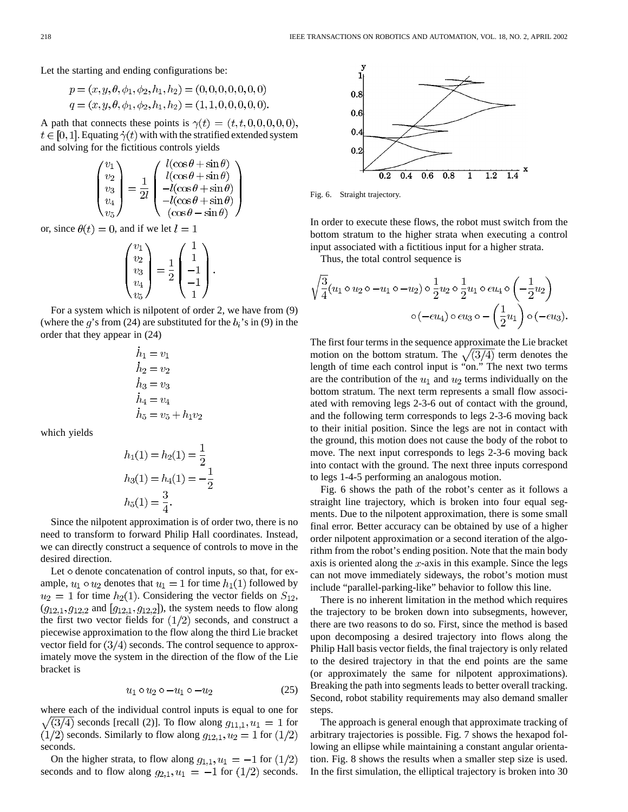Let the starting and ending configurations be:

$$
p = (x, y, \theta, \phi_1, \phi_2, h_1, h_2) = (0, 0, 0, 0, 0, 0, 0)
$$
  

$$
q = (x, y, \theta, \phi_1, \phi_2, h_1, h_2) = (1, 1, 0, 0, 0, 0, 0).
$$

A path that connects these points is  $\gamma(t) = (t, t, 0, 0, 0, 0, 0)$ ,  $t \in [0, 1]$ . Equating  $\dot{\gamma}(t)$  with with the stratified extended system and solving for the fictitious controls yields

$$
\begin{pmatrix} v_1 \\ v_2 \\ v_3 \\ v_4 \\ v_5 \end{pmatrix} = \frac{1}{2l} \begin{pmatrix} l(\cos\theta + \sin\theta) \\ l(\cos\theta + \sin\theta) \\ -l(\cos\theta + \sin\theta) \\ -l(\cos\theta + \sin\theta) \\ (\cos\theta - \sin\theta) \end{pmatrix}
$$

or, since  $\theta(t) = 0$ , and if we let  $l = 1$ 

$$
\begin{pmatrix} v_1 \\ v_2 \\ v_3 \\ v_4 \\ v_5 \end{pmatrix} = \frac{1}{2} \begin{pmatrix} 1 \\ 1 \\ -1 \\ -1 \\ 1 \end{pmatrix}.
$$

For a system which is nilpotent of order 2, we have from (9) (where the  $g$ 's from (24) are substituted for the  $b_i$ 's in (9) in the order that they appear in (24)

$$
h_1 = v_1 \n h_2 = v_2 \n h_3 = v_3 \n h_4 = v_4 \n h_5 = v_5 + h_1 v_2
$$

which yields

$$
h_1(1) = h_2(1) = \frac{1}{2}
$$
  
\n
$$
h_3(1) = h_4(1) = -\frac{1}{2}
$$
  
\n
$$
h_5(1) = \frac{3}{4}.
$$

Since the nilpotent approximation is of order two, there is no need to transform to forward Philip Hall coordinates. Instead, we can directly construct a sequence of controls to move in the desired direction.

Let  $\circ$  denote concatenation of control inputs, so that, for example,  $u_1 \circ u_2$  denotes that  $u_1 = 1$  for time  $h_1(1)$  followed by  $u_2 = 1$  for time  $h_2(1)$ . Considering the vector fields on  $S_{12}$ ,  $(g_{12,1}, g_{12,2} \text{ and } [g_{12,1}, g_{12,2}])$ , the system needs to flow along the first two vector fields for  $(1/2)$  seconds, and construct a piecewise approximation to the flow along the third Lie bracket vector field for  $(3/4)$  seconds. The control sequence to approximately move the system in the direction of the flow of the Lie bracket is

$$
u_1 \circ u_2 \circ -u_1 \circ -u_2 \tag{25}
$$

where each of the individual control inputs is equal to one for  $\sqrt{(3/4)}$  seconds [recall (2)]. To flow along  $g_{11,1}, u_1 = 1$  for  $(1/2)$  seconds. Similarly to flow along  $g_{12,1}, u_2 = 1$  for  $(1/2)$ seconds.

On the higher strata, to flow along  $g_{1,1}, u_1 = -1$  for  $(1/2)$ seconds and to flow along  $g_{2,1}, u_1 = -1$  for  $(1/2)$  seconds.



Fig. 6. Straight trajectory.

In order to execute these flows, the robot must switch from the bottom stratum to the higher strata when executing a control input associated with a fictitious input for a higher strata.

Thus, the total control sequence is

$$
\sqrt{\frac{3}{4}}(u_1 \circ u_2 \circ -u_1 \circ -u_2) \circ \frac{1}{2}u_2 \circ \frac{1}{2}u_1 \circ \epsilon u_4 \circ \left(-\frac{1}{2}u_2\right)
$$

$$
\circ (-\epsilon u_4) \circ \epsilon u_3 \circ -\left(\frac{1}{2}u_1\right) \circ (-\epsilon u_3).
$$

The first four terms in the sequence approximate the Lie bracket motion on the bottom stratum. The  $\sqrt{(3/4)}$  term denotes the length of time each control input is "on." The next two terms are the contribution of the  $u_1$  and  $u_2$  terms individually on the bottom stratum. The next term represents a small flow associated with removing legs 2-3-6 out of contact with the ground, and the following term corresponds to legs 2-3-6 moving back to their initial position. Since the legs are not in contact with the ground, this motion does not cause the body of the robot to move. The next input corresponds to legs 2-3-6 moving back into contact with the ground. The next three inputs correspond to legs 1-4-5 performing an analogous motion.

Fig. 6 shows the path of the robot's center as it follows a straight line trajectory, which is broken into four equal segments. Due to the nilpotent approximation, there is some small final error. Better accuracy can be obtained by use of a higher order nilpotent approximation or a second iteration of the algorithm from the robot's ending position. Note that the main body axis is oriented along the  $x$ -axis in this example. Since the legs can not move immediately sideways, the robot's motion must include "parallel-parking-like" behavior to follow this line.

There is no inherent limitation in the method which requires the trajectory to be broken down into subsegments, however, there are two reasons to do so. First, since the method is based upon decomposing a desired trajectory into flows along the Philip Hall basis vector fields, the final trajectory is only related to the desired trajectory in that the end points are the same (or approximately the same for nilpotent approximations). Breaking the path into segments leads to better overall tracking. Second, robot stability requirements may also demand smaller steps.

The approach is general enough that approximate tracking of arbitrary trajectories is possible. Fig. 7 shows the hexapod following an ellipse while maintaining a constant angular orientation. Fig. 8 shows the results when a smaller step size is used. In the first simulation, the elliptical trajectory is broken into 30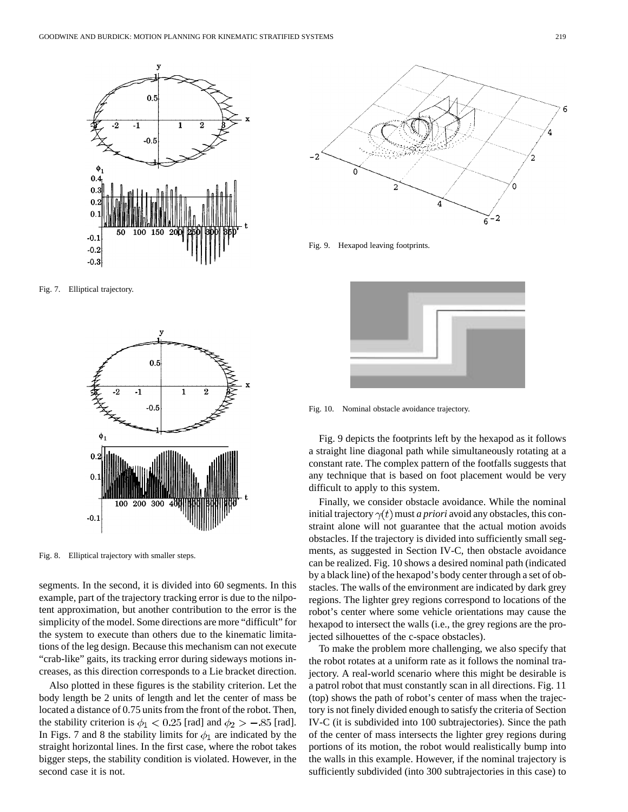

Fig. 7. Elliptical trajectory.



Fig. 8. Elliptical trajectory with smaller steps.

segments. In the second, it is divided into 60 segments. In this example, part of the trajectory tracking error is due to the nilpotent approximation, but another contribution to the error is the simplicity of the model. Some directions are more "difficult" for the system to execute than others due to the kinematic limitations of the leg design. Because this mechanism can not execute "crab-like" gaits, its tracking error during sideways motions increases, as this direction corresponds to a Lie bracket direction.

Also plotted in these figures is the stability criterion. Let the body length be 2 units of length and let the center of mass be located a distance of 0.75 units from the front of the robot. Then, the stability criterion is  $\phi_1 < 0.25$  [rad] and  $\phi_2 > -.85$  [rad]. In Figs. 7 and 8 the stability limits for  $\phi_1$  are indicated by the straight horizontal lines. In the first case, where the robot takes bigger steps, the stability condition is violated. However, in the second case it is not.



Fig. 9. Hexapod leaving footprints.



Fig. 10. Nominal obstacle avoidance trajectory.

Fig. 9 depicts the footprints left by the hexapod as it follows a straight line diagonal path while simultaneously rotating at a constant rate. The complex pattern of the footfalls suggests that any technique that is based on foot placement would be very difficult to apply to this system.

Finally, we consider obstacle avoidance. While the nominal initial trajectory  $\gamma(t)$  must *a priori* avoid any obstacles, this constraint alone will not guarantee that the actual motion avoids obstacles. If the trajectory is divided into sufficiently small segments, as suggested in Section IV-C, then obstacle avoidance can be realized. Fig. 10 shows a desired nominal path (indicated by a black line) of the hexapod's body center through a set of obstacles. The walls of the environment are indicated by dark grey regions. The lighter grey regions correspond to locations of the robot's center where some vehicle orientations may cause the hexapod to intersect the walls (i.e., the grey regions are the projected silhouettes of the c-space obstacles).

To make the problem more challenging, we also specify that the robot rotates at a uniform rate as it follows the nominal trajectory. A real-world scenario where this might be desirable is a patrol robot that must constantly scan in all directions. Fig. 11 (top) shows the path of robot's center of mass when the trajectory is not finely divided enough to satisfy the criteria of Section IV-C (it is subdivided into 100 subtrajectories). Since the path of the center of mass intersects the lighter grey regions during portions of its motion, the robot would realistically bump into the walls in this example. However, if the nominal trajectory is sufficiently subdivided (into 300 subtrajectories in this case) to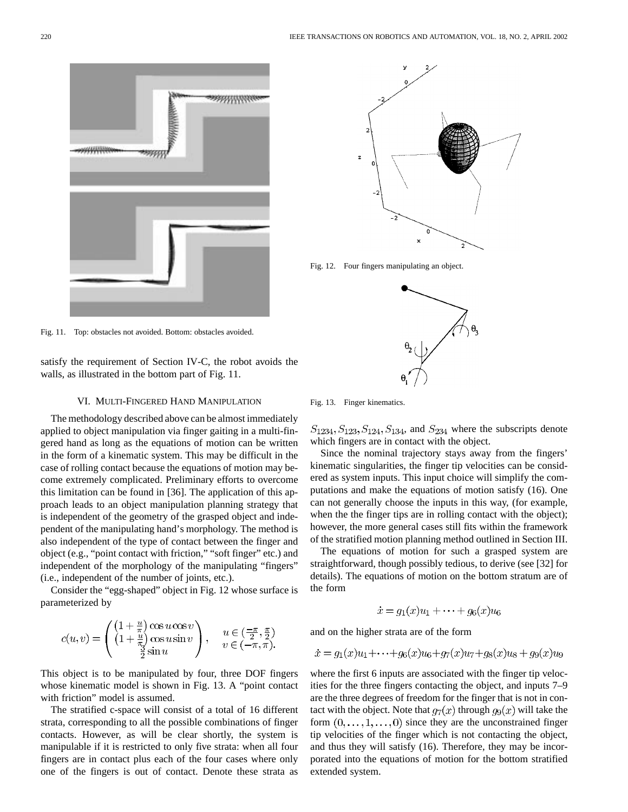

Fig. 11. Top: obstacles not avoided. Bottom: obstacles avoided.

satisfy the requirement of Section IV-C, the robot avoids the walls, as illustrated in the bottom part of Fig. 11.

## VI. MULTI-FINGERED HAND MANIPULATION

The methodology described above can be almost immediately applied to object manipulation via finger gaiting in a multi-fingered hand as long as the equations of motion can be written in the form of a kinematic system. This may be difficult in the case of rolling contact because the equations of motion may become extremely complicated. Preliminary efforts to overcome this limitation can be found in [36]. The application of this approach leads to an object manipulation planning strategy that is independent of the geometry of the grasped object and independent of the manipulating hand's morphology. The method is also independent of the type of contact between the finger and object (e.g., "point contact with friction," "soft finger" etc.) and independent of the morphology of the manipulating "fingers" (i.e., independent of the number of joints, etc.).

Consider the "egg-shaped" object in Fig. 12 whose surface is parameterized by

$$
c(u,v) = \begin{pmatrix} \left(1 + \frac{u}{\pi}\right) \cos u \cos v \\ \left(1 + \frac{u}{\pi}\right) \cos u \sin v \\ \frac{3}{2} \sin u \end{pmatrix}, \quad u \in \left(-\pi, \frac{\pi}{2}\right),
$$

This object is to be manipulated by four, three DOF fingers whose kinematic model is shown in Fig. 13. A "point contact with friction" model is assumed.

The stratified c-space will consist of a total of 16 different strata, corresponding to all the possible combinations of finger contacts. However, as will be clear shortly, the system is manipulable if it is restricted to only five strata: when all four fingers are in contact plus each of the four cases where only one of the fingers is out of contact. Denote these strata as



Fig. 12. Four fingers manipulating an object.



Fig. 13. Finger kinematics.

 $S_{1234}, S_{123}, S_{124}, S_{134}$ , and  $S_{234}$  where the subscripts denote which fingers are in contact with the object.

Since the nominal trajectory stays away from the fingers' kinematic singularities, the finger tip velocities can be considered as system inputs. This input choice will simplify the computations and make the equations of motion satisfy (16). One can not generally choose the inputs in this way, (for example, when the the finger tips are in rolling contact with the object); however, the more general cases still fits within the framework of the stratified motion planning method outlined in Section III.

The equations of motion for such a grasped system are straightforward, though possibly tedious, to derive (see [32] for details). The equations of motion on the bottom stratum are of the form

$$
\dot{x} = g_1(x)u_1 + \dots + g_6(x)u_6
$$

and on the higher strata are of the form

$$
\dot{x} = g_1(x)u_1 + \dots + g_6(x)u_6 + g_7(x)u_7 + g_8(x)u_8 + g_9(x)u_9
$$

where the first 6 inputs are associated with the finger tip velocities for the three fingers contacting the object, and inputs 7–9 are the three degrees of freedom for the finger that is not in contact with the object. Note that  $g_7(x)$  through  $g_9(x)$  will take the form  $(0, \ldots, 1, \ldots, 0)$  since they are the unconstrained finger tip velocities of the finger which is not contacting the object, and thus they will satisfy (16). Therefore, they may be incorporated into the equations of motion for the bottom stratified extended system.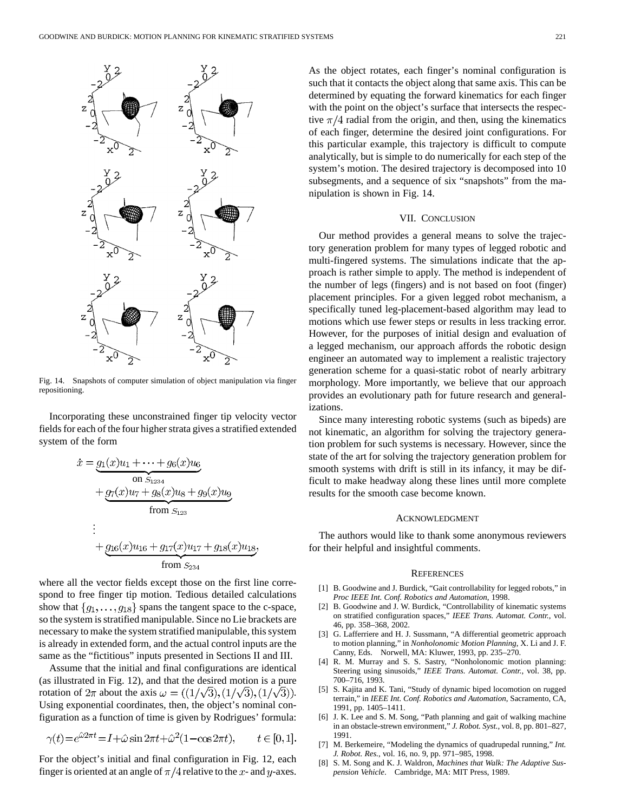

Fig. 14. Snapshots of computer simulation of object manipulation via finger repositioning.

Incorporating these unconstrained finger tip velocity vector fields for each of the four higher strata gives a stratified extended system of the form

$$
\dot{x} = g_1(x)u_1 + \dots + g_6(x)u_6
$$
\n
$$
+ g_7(x)u_7 + g_8(x)u_8 + g_9(x)u_9
$$
\nfrom  $S_{123}$   
\n
$$
\vdots
$$
\n
$$
+ g_{16}(x)u_{16} + g_{17}(x)u_{17} + g_{18}(x)u_{18},
$$
\nfrom  $S_{234}$ 

where all the vector fields except those on the first line correspond to free finger tip motion. Tedious detailed calculations show that  $\{g_1, \ldots, g_{18}\}$  spans the tangent space to the c-space, so the system is stratified manipulable. Since no Lie brackets are necessary to make the system stratified manipulable, this system is already in extended form, and the actual control inputs are the same as the "fictitious" inputs presented in Sections II and III.

Assume that the initial and final configurations are identical (as illustrated in Fig. 12), and that the desired motion is a pure rotation of  $2\pi$  about the axis  $\omega = ((1/\sqrt{3}), (1/\sqrt{3}), (1/\sqrt{3})).$ Using exponential coordinates, then, the object's nominal configuration as a function of time is given by Rodrigues' formula:

$$
\gamma(t) = e^{\hat{\omega}2\pi t} = I + \hat{\omega}\sin 2\pi t + \hat{\omega}^2 (1 - \cos 2\pi t), \qquad t \in [0, 1]
$$

For the object's initial and final configuration in Fig. 12, each finger is oriented at an angle of  $\pi/4$  relative to the x- and y-axes. As the object rotates, each finger's nominal configuration is such that it contacts the object along that same axis. This can be determined by equating the forward kinematics for each finger with the point on the object's surface that intersects the respective  $\pi/4$  radial from the origin, and then, using the kinematics of each finger, determine the desired joint configurations. For this particular example, this trajectory is difficult to compute analytically, but is simple to do numerically for each step of the system's motion. The desired trajectory is decomposed into 10 subsegments, and a sequence of six "snapshots" from the manipulation is shown in Fig. 14.

## VII. CONCLUSION

Our method provides a general means to solve the trajectory generation problem for many types of legged robotic and multi-fingered systems. The simulations indicate that the approach is rather simple to apply. The method is independent of the number of legs (fingers) and is not based on foot (finger) placement principles. For a given legged robot mechanism, a specifically tuned leg-placement-based algorithm may lead to motions which use fewer steps or results in less tracking error. However, for the purposes of initial design and evaluation of a legged mechanism, our approach affords the robotic design engineer an automated way to implement a realistic trajectory generation scheme for a quasi-static robot of nearly arbitrary morphology. More importantly, we believe that our approach provides an evolutionary path for future research and generalizations.

Since many interesting robotic systems (such as bipeds) are not kinematic, an algorithm for solving the trajectory generation problem for such systems is necessary. However, since the state of the art for solving the trajectory generation problem for smooth systems with drift is still in its infancy, it may be difficult to make headway along these lines until more complete results for the smooth case become known.

#### ACKNOWLEDGMENT

The authors would like to thank some anonymous reviewers for their helpful and insightful comments.

## **REFERENCES**

- [1] B. Goodwine and J. Burdick, "Gait controllability for legged robots," in *Proc IEEE Int. Conf. Robotics and Automation*, 1998.
- [2] B. Goodwine and J. W. Burdick, "Controllability of kinematic systems on stratified configuration spaces," *IEEE Trans. Automat. Contr.*, vol. 46, pp. 358–368, 2002.
- [3] G. Lafferriere and H. J. Sussmann, "A differential geometric approach to motion planning," in *Nonholonomic Motion Planning*, X. Li and J. F. Canny, Eds. Norwell, MA: Kluwer, 1993, pp. 235–270.
- [4] R. M. Murray and S. S. Sastry, "Nonholonomic motion planning: Steering using sinusoids," *IEEE Trans. Automat. Contr.*, vol. 38, pp. 700–716, 1993.
- [5] S. Kajita and K. Tani, "Study of dynamic biped locomotion on rugged terrain," in *IEEE Int. Conf. Robotics and Automation*, Sacramento, CA, 1991, pp. 1405–1411.
- [6] J. K. Lee and S. M. Song, "Path planning and gait of walking machine in an obstacle-strewn environment," *J. Robot. Syst.*, vol. 8, pp. 801–827, 1991.
- [7] M. Berkemeire, "Modeling the dynamics of quadrupedal running," *Int. J. Robot. Res.*, vol. 16, no. 9, pp. 971–985, 1998.
- [8] S. M. Song and K. J. Waldron, *Machines that Walk: The Adaptive Suspension Vehicle*. Cambridge, MA: MIT Press, 1989.